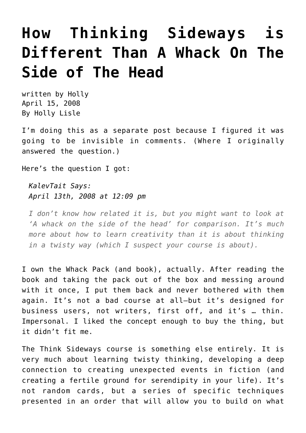## **[How Thinking Sideways is](https://hollylisle.com/how-thinking-sideways-is-different-than-the-whack-pack/) [Different Than A Whack On The](https://hollylisle.com/how-thinking-sideways-is-different-than-the-whack-pack/) [Side of The Head](https://hollylisle.com/how-thinking-sideways-is-different-than-the-whack-pack/)**

written by Holly April 15, 2008 [By Holly Lisle](https://hollylisle.com)

I'm doing this as a separate post because I figured it was going to be invisible in comments. (Where I originally answered the question.)

Here's the question I got:

*[KalevTait Says:](https://hollylisle.com/writingdiary2/index.php/2008/04/08/how-to-think-sideways/#comment-27413) [April 13th, 2008 at 12:09 pm](https://hollylisle.com/writingdiary2/index.php/2008/04/08/how-to-think-sideways/#comment-27413)*

*I don't know how related it is, but you might want to look at 'A whack on the side of the head' for comparison. It's much more about how to learn creativity than it is about thinking in a twisty way (which I suspect your course is about).*

I own the Whack Pack (and book), actually. After reading the book and taking the pack out of the box and messing around with it once, I put them back and never bothered with them again. It's not a bad course at all—but it's designed for business users, not writers, first off, and it's … thin. Impersonal. I liked the concept enough to buy the thing, but it didn't fit me.

The Think Sideways course is something else entirely. It is very much about learning twisty thinking, developing a deep connection to creating unexpected events in fiction (and creating a fertile ground for serendipity in your life). It's not random cards, but a series of specific techniques presented in an order that will allow you to build on what